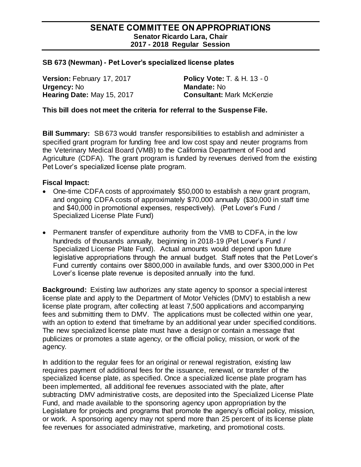## **SENATE COMMITTEE ON APPROPRIATIONS Senator Ricardo Lara, Chair 2017 - 2018 Regular Session**

## **SB 673 (Newman) - Pet Lover's specialized license plates**

**Version:** February 17, 2017 **Policy Vote:** T. & H. 13 - 0 **Urgency:** No **Mandate:** No **Hearing Date:** May 15, 2017 **Consultant:** Mark McKenzie

## **This bill does not meet the criteria for referral to the Suspense File.**

**Bill Summary:** SB 673 would transfer responsibilities to establish and administer a specified grant program for funding free and low cost spay and neuter programs from the Veterinary Medical Board (VMB) to the California Department of Food and Agriculture (CDFA). The grant program is funded by revenues derived from the existing Pet Lover's specialized license plate program.

## **Fiscal Impact:**

- One-time CDFA costs of approximately \$50,000 to establish a new grant program, and ongoing CDFA costs of approximately \$70,000 annually (\$30,000 in staff time and \$40,000 in promotional expenses, respectively). (Pet Lover's Fund / Specialized License Plate Fund)
- Permanent transfer of expenditure authority from the VMB to CDFA, in the low hundreds of thousands annually, beginning in 2018-19 (Pet Lover's Fund / Specialized License Plate Fund). Actual amounts would depend upon future legislative appropriations through the annual budget. Staff notes that the Pet Lover's Fund currently contains over \$800,000 in available funds, and over \$300,000 in Pet Lover's license plate revenue is deposited annually into the fund.

**Background:** Existing law authorizes any state agency to sponsor a special interest license plate and apply to the Department of Motor Vehicles (DMV) to establish a new license plate program, after collecting at least 7,500 applications and accompanying fees and submitting them to DMV. The applications must be collected within one year, with an option to extend that timeframe by an additional year under specified conditions. The new specialized license plate must have a design or contain a message that publicizes or promotes a state agency, or the official policy, mission, or work of the agency.

In addition to the regular fees for an original or renewal registration, existing law requires payment of additional fees for the issuance, renewal, or transfer of the specialized license plate, as specified. Once a specialized license plate program has been implemented, all additional fee revenues associated with the plate, after subtracting DMV administrative costs, are deposited into the Specialized License Plate Fund, and made available to the sponsoring agency upon appropriation by the Legislature for projects and programs that promote the agency's official policy, mission, or work. A sponsoring agency may not spend more than 25 percent of its license plate fee revenues for associated administrative, marketing, and promotional costs.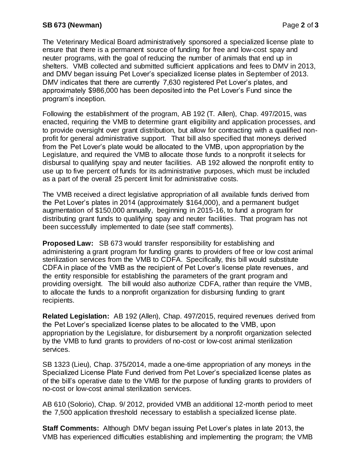The Veterinary Medical Board administratively sponsored a specialized license plate to ensure that there is a permanent source of funding for free and low-cost spay and neuter programs, with the goal of reducing the number of animals that end up in shelters. VMB collected and submitted sufficient applications and fees to DMV in 2013, and DMV began issuing Pet Lover's specialized license plates in September of 2013. DMV indicates that there are currently 7,630 registered Pet Lover's plates, and approximately \$986,000 has been deposited into the Pet Lover's Fund since the program's inception.

Following the establishment of the program, AB 192 (T. Allen), Chap. 497/2015, was enacted, requiring the VMB to determine grant eligibility and application processes, and to provide oversight over grant distribution, but allow for contracting with a qualified nonprofit for general administrative support. That bill also specified that moneys derived from the Pet Lover's plate would be allocated to the VMB, upon appropriation by the Legislature, and required the VMB to allocate those funds to a nonprofit it selects for disbursal to qualifying spay and neuter facilities. AB 192 allowed the nonprofit entity to use up to five percent of funds for its administrative purposes, which must be included as a part of the overall 25 percent limit for administrative costs.

The VMB received a direct legislative appropriation of all available funds derived from the Pet Lover's plates in 2014 (approximately \$164,000), and a permanent budget augmentation of \$150,000 annually, beginning in 2015-16, to fund a program for distributing grant funds to qualifying spay and neuter facilities. That program has not been successfully implemented to date (see staff comments).

**Proposed Law:** SB 673 would transfer responsibility for establishing and administering a grant program for funding grants to providers of free or low cost animal sterilization services from the VMB to CDFA. Specifically, this bill would substitute CDFA in place of the VMB as the recipient of Pet Lover's license plate revenues, and the entity responsible for establishing the parameters of the grant program and providing oversight. The bill would also authorize CDFA, rather than require the VMB, to allocate the funds to a nonprofit organization for disbursing funding to grant recipients.

**Related Legislation:** AB 192 (Allen), Chap. 497/2015, required revenues derived from the Pet Lover's specialized license plates to be allocated to the VMB, upon appropriation by the Legislature, for disbursement by a nonprofit organization selected by the VMB to fund grants to providers of no-cost or low-cost animal sterilization services.

SB 1323 (Lieu), Chap. 375/2014, made a one-time appropriation of any moneys in the Specialized License Plate Fund derived from Pet Lover's specialized license plates as of the bill's operative date to the VMB for the purpose of funding grants to providers of no-cost or low-cost animal sterilization services.

AB 610 (Solorio), Chap. 9/ 2012, provided VMB an additional 12-month period to meet the 7,500 application threshold necessary to establish a specialized license plate.

**Staff Comments:** Although DMV began issuing Pet Lover's plates in late 2013, the VMB has experienced difficulties establishing and implementing the program; the VMB